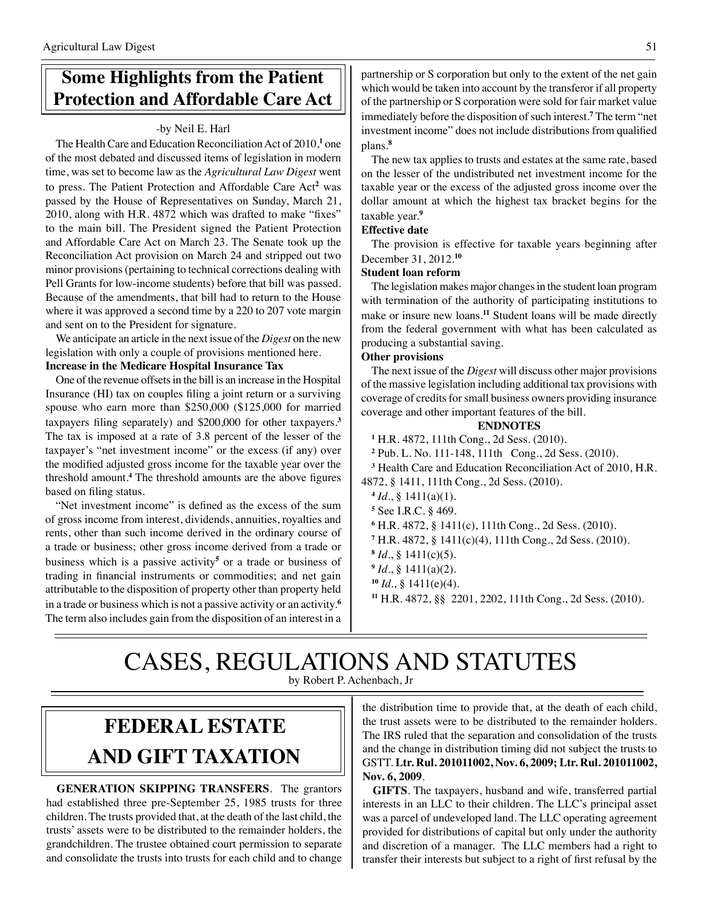# **Some Highlights from the Patient Protection and Affordable Care Act**

### -by Neil E. Harl

The Health Care and Education Reconciliation Act of 2010,<sup>1</sup> one of the most debated and discussed items of legislation in modern time, was set to become law as the *Agricultural Law Digest* went to press. The Patient Protection and Affordable Care Act**<sup>2</sup>** was passed by the House of Representatives on Sunday, March 21, 2010, along with H.R. 4872 which was drafted to make "fixes" to the main bill. The President signed the Patient Protection and Affordable Care Act on March 23. The Senate took up the Reconciliation Act provision on March 24 and stripped out two minor provisions (pertaining to technical corrections dealing with Pell Grants for low-income students) before that bill was passed. Because of the amendments, that bill had to return to the House where it was approved a second time by a 220 to 207 vote margin and sent on to the President for signature.

We anticipate an article in the next issue of the *Digest* on the new legislation with only a couple of provisions mentioned here. **Increase in the Medicare Hospital Insurance Tax**

One of the revenue offsets in the bill is an increase in the Hospital Insurance (HI) tax on couples filing a joint return or a surviving spouse who earn more than \$250,000 (\$125,000 for married taxpayers filing separately) and \$200,000 for other taxpayers.**<sup>3</sup>** The tax is imposed at a rate of 3.8 percent of the lesser of the taxpayer's "net investment income" or the excess (if any) over the modified adjusted gross income for the taxable year over the threshold amount.**<sup>4</sup>** The threshold amounts are the above figures based on filing status.

"Net investment income" is defined as the excess of the sum of gross income from interest, dividends, annuities, royalties and rents, other than such income derived in the ordinary course of a trade or business; other gross income derived from a trade or business which is a passive activity**<sup>5</sup>** or a trade or business of trading in financial instruments or commodities; and net gain attributable to the disposition of property other than property held in a trade or business which is not a passive activity or an activity.**<sup>6</sup>** The term also includes gain from the disposition of an interest in a

partnership or S corporation but only to the extent of the net gain which would be taken into account by the transferor if all property of the partnership or S corporation were sold for fair market value immediately before the disposition of such interest.**<sup>7</sup>** The term "net investment income" does not include distributions from qualified plans.**<sup>8</sup>**

The new tax applies to trusts and estates at the same rate, based on the lesser of the undistributed net investment income for the taxable year or the excess of the adjusted gross income over the dollar amount at which the highest tax bracket begins for the taxable year.**<sup>9</sup>**

### **Effective date**

The provision is effective for taxable years beginning after December 31, 2012.**<sup>10</sup>**

#### **Student loan reform**

The legislation makes major changes in the student loan program with termination of the authority of participating institutions to make or insure new loans.**<sup>11</sup>** Student loans will be made directly from the federal government with what has been calculated as producing a substantial saving.

#### **Other provisions**

The next issue of the *Digest* will discuss other major provisions of the massive legislation including additional tax provisions with coverage of credits for small business owners providing insurance coverage and other important features of the bill.

#### **ENDNOTES**

**<sup>1</sup>** H.R. 4872, 111th Cong., 2d Sess. (2010).

**<sup>2</sup>** Pub. L. No. 111-148, 111th Cong., 2d Sess. (2010).

**<sup>3</sup>** Health Care and Education Reconciliation Act of 2010, H.R. 4872, § 1411, 111th Cong., 2d Sess. (2010).

**<sup>5</sup>** See I.R.C. § 469.

```
6 H.R. 4872, § 1411(c), 111th Cong., 2d Sess. (2010).
```
**<sup>7</sup>** H.R. 4872, § 1411(c)(4), 111th Cong., 2d Sess. (2010).

- **<sup>8</sup>** *Id*., § 1411(c)(5).
- **<sup>9</sup>** *Id*., § 1411(a)(2).
- **<sup>10</sup>** *Id*., § 1411(e)(4).
- **<sup>11</sup>** H.R. 4872, §§ 2201, 2202, 111th Cong., 2d Sess. (2010).

## CASES, REGULATIONS AND STATUTES by Robert P. Achenbach, Jr

# **federal ESTATE AND GIFT taxation**

**GENERATION SKIPPING TRANSFERS**. The grantors had established three pre-September 25, 1985 trusts for three children. The trusts provided that, at the death of the last child, the trusts' assets were to be distributed to the remainder holders, the grandchildren. The trustee obtained court permission to separate and consolidate the trusts into trusts for each child and to change

the distribution time to provide that, at the death of each child, the trust assets were to be distributed to the remainder holders. The IRS ruled that the separation and consolidation of the trusts and the change in distribution timing did not subject the trusts to GSTT. **Ltr. Rul. 201011002, Nov. 6, 2009; Ltr. Rul. 201011002, Nov. 6, 2009**.

**GIFTS**. The taxpayers, husband and wife, transferred partial interests in an LLC to their children. The LLC's principal asset was a parcel of undeveloped land. The LLC operating agreement provided for distributions of capital but only under the authority and discretion of a manager. The LLC members had a right to transfer their interests but subject to a right of first refusal by the

**<sup>4</sup>** *Id*., § 1411(a)(1).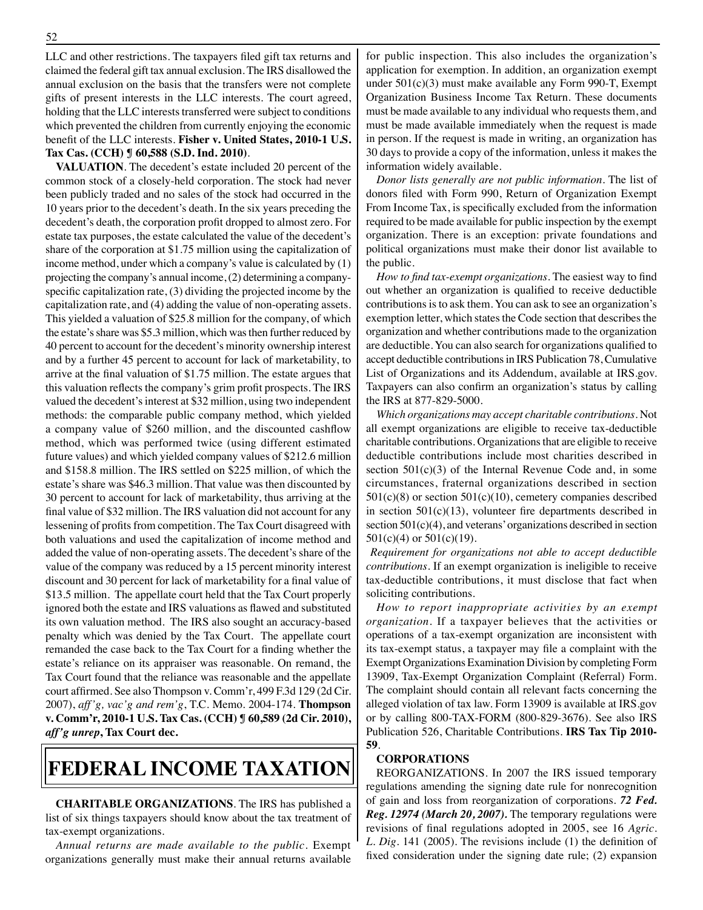LLC and other restrictions. The taxpayers filed gift tax returns and claimed the federal gift tax annual exclusion. The IRS disallowed the annual exclusion on the basis that the transfers were not complete gifts of present interests in the LLC interests. The court agreed, holding that the LLC interests transferred were subject to conditions which prevented the children from currently enjoying the economic benefit of the LLC interests. **Fisher v. United States, 2010-1 U.S. Tax Cas. (CCH) ¶ 60,588 (S.D. Ind. 2010)**.

**VALUATION**. The decedent's estate included 20 percent of the common stock of a closely-held corporation. The stock had never been publicly traded and no sales of the stock had occurred in the 10 years prior to the decedent's death. In the six years preceding the decedent's death, the corporation profit dropped to almost zero. For estate tax purposes, the estate calculated the value of the decedent's share of the corporation at \$1.75 million using the capitalization of income method, under which a company's value is calculated by (1) projecting the company's annual income, (2) determining a companyspecific capitalization rate, (3) dividing the projected income by the capitalization rate, and (4) adding the value of non-operating assets. This yielded a valuation of \$25.8 million for the company, of which the estate's share was \$5.3 million, which was then further reduced by 40 percent to account for the decedent's minority ownership interest and by a further 45 percent to account for lack of marketability, to arrive at the final valuation of \$1.75 million. The estate argues that this valuation reflects the company's grim profit prospects. The IRS valued the decedent's interest at \$32 million, using two independent methods: the comparable public company method, which yielded a company value of \$260 million, and the discounted cashflow method, which was performed twice (using different estimated future values) and which yielded company values of \$212.6 million and \$158.8 million. The IRS settled on \$225 million, of which the estate's share was \$46.3 million. That value was then discounted by 30 percent to account for lack of marketability, thus arriving at the final value of \$32 million. The IRS valuation did not account for any lessening of profits from competition. The Tax Court disagreed with both valuations and used the capitalization of income method and added the value of non-operating assets. The decedent's share of the value of the company was reduced by a 15 percent minority interest discount and 30 percent for lack of marketability for a final value of \$13.5 million. The appellate court held that the Tax Court properly ignored both the estate and IRS valuations as flawed and substituted its own valuation method. The IRS also sought an accuracy-based penalty which was denied by the Tax Court. The appellate court remanded the case back to the Tax Court for a finding whether the estate's reliance on its appraiser was reasonable. On remand, the Tax Court found that the reliance was reasonable and the appellate court affirmed. See also Thompson v. Comm'r, 499 F.3d 129 (2d Cir. 2007), *aff'g, vac'g and rem'g*, T.C. Memo. 2004-174. **Thompson v. Comm'r, 2010-1 U.S. Tax Cas. (CCH) ¶ 60,589 (2d Cir. 2010),**  *aff'g unrep***, Tax Court dec.**

# **federal income taxation**

**CHARITABLE ORGANIZATIONS**. The IRS has published a list of six things taxpayers should know about the tax treatment of tax-exempt organizations.

*Annual returns are made available to the public*. Exempt organizations generally must make their annual returns available

for public inspection. This also includes the organization's application for exemption. In addition, an organization exempt under 501(c)(3) must make available any Form 990-T, Exempt Organization Business Income Tax Return. These documents must be made available to any individual who requests them, and must be made available immediately when the request is made in person. If the request is made in writing, an organization has 30 days to provide a copy of the information, unless it makes the information widely available.

*Donor lists generally are not public information*. The list of donors filed with Form 990, Return of Organization Exempt From Income Tax, is specifically excluded from the information required to be made available for public inspection by the exempt organization. There is an exception: private foundations and political organizations must make their donor list available to the public.

*How to find tax-exempt organizations*. The easiest way to find out whether an organization is qualified to receive deductible contributions is to ask them. You can ask to see an organization's exemption letter, which states the Code section that describes the organization and whether contributions made to the organization are deductible. You can also search for organizations qualified to accept deductible contributions in IRS Publication 78, Cumulative List of Organizations and its Addendum, available at IRS.gov. Taxpayers can also confirm an organization's status by calling the IRS at 877-829-5000.

*Which organizations may accept charitable contributions*. Not all exempt organizations are eligible to receive tax-deductible charitable contributions. Organizations that are eligible to receive deductible contributions include most charities described in section  $501(c)(3)$  of the Internal Revenue Code and, in some circumstances, fraternal organizations described in section  $501(c)(8)$  or section  $501(c)(10)$ , cemetery companies described in section  $501(c)(13)$ , volunteer fire departments described in section 501(c)(4), and veterans' organizations described in section  $501(c)(4)$  or  $501(c)(19)$ .

*Requirement for organizations not able to accept deductible contributions*. If an exempt organization is ineligible to receive tax-deductible contributions, it must disclose that fact when soliciting contributions.

*How to report inappropriate activities by an exempt organization*. If a taxpayer believes that the activities or operations of a tax-exempt organization are inconsistent with its tax-exempt status, a taxpayer may file a complaint with the Exempt Organizations Examination Division by completing Form 13909, Tax-Exempt Organization Complaint (Referral) Form. The complaint should contain all relevant facts concerning the alleged violation of tax law. Form 13909 is available at IRS.gov or by calling 800-TAX-FORM (800-829-3676). See also IRS Publication 526, Charitable Contributions. **IRS Tax Tip 2010- 59**.

## **CORPORATIONS**

REORGANIZATIONS. In 2007 the IRS issued temporary regulations amending the signing date rule for nonrecognition of gain and loss from reorganization of corporations. *72 Fed. Reg. 12974 (March 20, 2007).* The temporary regulations were revisions of final regulations adopted in 2005, see 16 *Agric. L. Dig.* 141 (2005). The revisions include (1) the definition of fixed consideration under the signing date rule; (2) expansion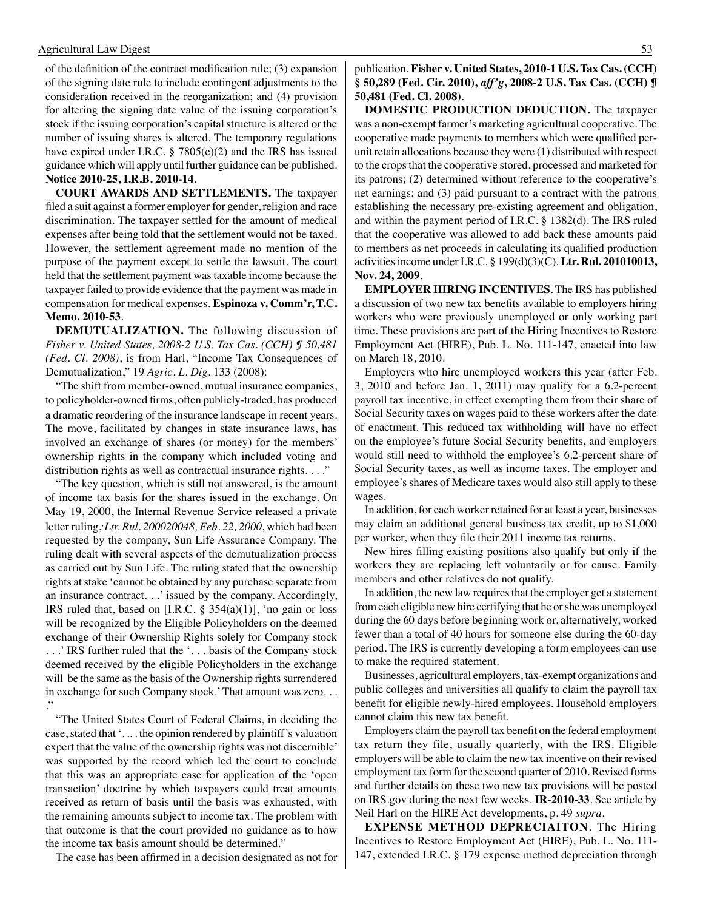#### Agricultural Law Digest 53

of the definition of the contract modification rule; (3) expansion of the signing date rule to include contingent adjustments to the consideration received in the reorganization; and (4) provision for altering the signing date value of the issuing corporation's stock if the issuing corporation's capital structure is altered or the number of issuing shares is altered. The temporary regulations have expired under I.R.C. § 7805(e)(2) and the IRS has issued guidance which will apply until further guidance can be published. **Notice 2010-25, I.R.B. 2010-14**.

**COURT AWARDS AND SETTLEMENTS.** The taxpayer filed a suit against a former employer for gender, religion and race discrimination. The taxpayer settled for the amount of medical expenses after being told that the settlement would not be taxed. However, the settlement agreement made no mention of the purpose of the payment except to settle the lawsuit. The court held that the settlement payment was taxable income because the taxpayer failed to provide evidence that the payment was made in compensation for medical expenses. **Espinoza v. Comm'r, T.C. Memo. 2010-53**.

**DEMUTUALIZATION.** The following discussion of *Fisher v. United States, 2008-2 U.S. Tax Cas. (CCH) ¶ 50,481 (Fed. Cl. 2008)*, is from Harl, "Income Tax Consequences of Demutualization," 19 *Agric. L. Dig*. 133 (2008):

"The shift from member-owned, mutual insurance companies, to policyholder-owned firms, often publicly-traded, has produced a dramatic reordering of the insurance landscape in recent years. The move, facilitated by changes in state insurance laws, has involved an exchange of shares (or money) for the members' ownership rights in the company which included voting and distribution rights as well as contractual insurance rights. . . ."

"The key question, which is still not answered, is the amount of income tax basis for the shares issued in the exchange. On May 19, 2000, the Internal Revenue Service released a private letter ruling,**,** *Ltr. Rul. 200020048, Feb. 22, 2000*, which had been requested by the company, Sun Life Assurance Company. The ruling dealt with several aspects of the demutualization process as carried out by Sun Life. The ruling stated that the ownership rights at stake 'cannot be obtained by any purchase separate from an insurance contract. . .' issued by the company. Accordingly, IRS ruled that, based on [I.R.C.  $\S$  354(a)(1)], 'no gain or loss will be recognized by the Eligible Policyholders on the deemed exchange of their Ownership Rights solely for Company stock . . .' IRS further ruled that the '. . . basis of the Company stock deemed received by the eligible Policyholders in the exchange will be the same as the basis of the Ownership rights surrendered in exchange for such Company stock.' That amount was zero. . . ."

"The United States Court of Federal Claims, in deciding the case, stated that '. .. . the opinion rendered by plaintiff's valuation expert that the value of the ownership rights was not discernible' was supported by the record which led the court to conclude that this was an appropriate case for application of the 'open transaction' doctrine by which taxpayers could treat amounts received as return of basis until the basis was exhausted, with the remaining amounts subject to income tax. The problem with that outcome is that the court provided no guidance as to how the income tax basis amount should be determined."

The case has been affirmed in a decision designated as not for

publication. **Fisher v. United States, 2010-1 U.S. Tax Cas. (CCH) § 50,289 (Fed. Cir. 2010),** *aff'g***, 2008-2 U.S. Tax Cas. (CCH) ¶ 50,481 (Fed. Cl. 2008)***.*

**DOMESTIC PRODUCTION DEDUCTION.** The taxpayer was a non-exempt farmer's marketing agricultural cooperative. The cooperative made payments to members which were qualified perunit retain allocations because they were (1) distributed with respect to the crops that the cooperative stored, processed and marketed for its patrons; (2) determined without reference to the cooperative's net earnings; and (3) paid pursuant to a contract with the patrons establishing the necessary pre-existing agreement and obligation, and within the payment period of I.R.C. § 1382(d). The IRS ruled that the cooperative was allowed to add back these amounts paid to members as net proceeds in calculating its qualified production activities income under I.R.C. § 199(d)(3)(C). **Ltr. Rul. 201010013, Nov. 24, 2009**.

**EMPLOYER HIRING INCENTIVES**. The IRS has published a discussion of two new tax benefits available to employers hiring workers who were previously unemployed or only working part time. These provisions are part of the Hiring Incentives to Restore Employment Act (HIRE), Pub. L. No. 111-147, enacted into law on March 18, 2010.

Employers who hire unemployed workers this year (after Feb. 3, 2010 and before Jan. 1, 2011) may qualify for a 6.2-percent payroll tax incentive, in effect exempting them from their share of Social Security taxes on wages paid to these workers after the date of enactment. This reduced tax withholding will have no effect on the employee's future Social Security benefits, and employers would still need to withhold the employee's 6.2-percent share of Social Security taxes, as well as income taxes. The employer and employee's shares of Medicare taxes would also still apply to these wages.

In addition, for each worker retained for at least a year, businesses may claim an additional general business tax credit, up to \$1,000 per worker, when they file their 2011 income tax returns.

New hires filling existing positions also qualify but only if the workers they are replacing left voluntarily or for cause. Family members and other relatives do not qualify.

In addition, the new law requires that the employer get a statement from each eligible new hire certifying that he or she was unemployed during the 60 days before beginning work or, alternatively, worked fewer than a total of 40 hours for someone else during the 60-day period. The IRS is currently developing a form employees can use to make the required statement.

Businesses, agricultural employers, tax-exempt organizations and public colleges and universities all qualify to claim the payroll tax benefit for eligible newly-hired employees. Household employers cannot claim this new tax benefit.

Employers claim the payroll tax benefit on the federal employment tax return they file, usually quarterly, with the IRS. Eligible employers will be able to claim the new tax incentive on their revised employment tax form for the second quarter of 2010. Revised forms and further details on these two new tax provisions will be posted on IRS.gov during the next few weeks. **IR-2010-33**. See article by Neil Harl on the HIRE Act developments, p. 49 *supra*.

**EXPENSE METHOD DEPRECIAITON**. The Hiring Incentives to Restore Employment Act (HIRE), Pub. L. No. 111- 147, extended I.R.C. § 179 expense method depreciation through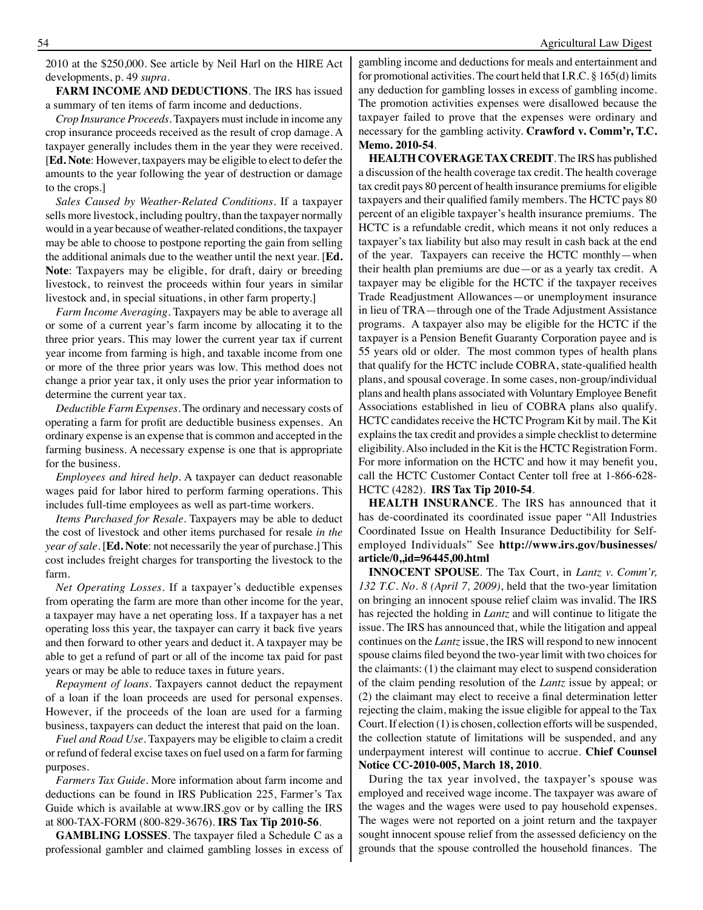2010 at the \$250,000. See article by Neil Harl on the HIRE Act developments, p. 49 *supra*.

**FARM INCOME AND DEDUCTIONS**. The IRS has issued a summary of ten items of farm income and deductions.

*Crop Insurance Proceeds.* Taxpayers must include in income any crop insurance proceeds received as the result of crop damage. A taxpayer generally includes them in the year they were received. [**Ed. Note**: However, taxpayers may be eligible to elect to defer the amounts to the year following the year of destruction or damage to the crops.]

*Sales Caused by Weather-Related Conditions.* If a taxpayer sells more livestock, including poultry, than the taxpayer normally would in a year because of weather-related conditions, the taxpayer may be able to choose to postpone reporting the gain from selling the additional animals due to the weather until the next year. [**Ed. Note**: Taxpayers may be eligible, for draft, dairy or breeding livestock, to reinvest the proceeds within four years in similar livestock and, in special situations, in other farm property.]

*Farm Income Averaging.* Taxpayers may be able to average all or some of a current year's farm income by allocating it to the three prior years. This may lower the current year tax if current year income from farming is high, and taxable income from one or more of the three prior years was low. This method does not change a prior year tax, it only uses the prior year information to determine the current year tax.

*Deductible Farm Expenses.* The ordinary and necessary costs of operating a farm for profit are deductible business expenses. An ordinary expense is an expense that is common and accepted in the farming business. A necessary expense is one that is appropriate for the business.

*Employees and hired help.* A taxpayer can deduct reasonable wages paid for labor hired to perform farming operations. This includes full-time employees as well as part-time workers.

*Items Purchased for Resale.* Taxpayers may be able to deduct the cost of livestock and other items purchased for resale *in the year of sale.* [**Ed. Note**: not necessarily the year of purchase.] This cost includes freight charges for transporting the livestock to the farm.

*Net Operating Losses.* If a taxpayer's deductible expenses from operating the farm are more than other income for the year, a taxpayer may have a net operating loss. If a taxpayer has a net operating loss this year, the taxpayer can carry it back five years and then forward to other years and deduct it. A taxpayer may be able to get a refund of part or all of the income tax paid for past years or may be able to reduce taxes in future years.

*Repayment of loans.* Taxpayers cannot deduct the repayment of a loan if the loan proceeds are used for personal expenses. However, if the proceeds of the loan are used for a farming business, taxpayers can deduct the interest that paid on the loan.

*Fuel and Road Use.* Taxpayers may be eligible to claim a credit or refund of federal excise taxes on fuel used on a farm for farming purposes.

*Farmers Tax Guide*. More information about farm income and deductions can be found in IRS Publication 225, Farmer's Tax Guide which is available at www.IRS.gov or by calling the IRS at 800-TAX-FORM (800-829-3676). **IRS Tax Tip 2010-56**.

**GAMBLING LOSSES**. The taxpayer filed a Schedule C as a professional gambler and claimed gambling losses in excess of gambling income and deductions for meals and entertainment and for promotional activities. The court held that I.R.C. § 165(d) limits any deduction for gambling losses in excess of gambling income. The promotion activities expenses were disallowed because the taxpayer failed to prove that the expenses were ordinary and necessary for the gambling activity. **Crawford v. Comm'r, T.C. Memo. 2010-54**.

**HEALTH COVERAGE TAX CREDIT**. The IRS has published a discussion of the health coverage tax credit. The health coverage tax credit pays 80 percent of health insurance premiums for eligible taxpayers and their qualified family members. The HCTC pays 80 percent of an eligible taxpayer's health insurance premiums. The HCTC is a refundable credit, which means it not only reduces a taxpayer's tax liability but also may result in cash back at the end of the year. Taxpayers can receive the HCTC monthly—when their health plan premiums are due—or as a yearly tax credit. A taxpayer may be eligible for the HCTC if the taxpayer receives Trade Readjustment Allowances—or unemployment insurance in lieu of TRA—through one of the Trade Adjustment Assistance programs. A taxpayer also may be eligible for the HCTC if the taxpayer is a Pension Benefit Guaranty Corporation payee and is 55 years old or older. The most common types of health plans that qualify for the HCTC include COBRA, state-qualified health plans, and spousal coverage. In some cases, non-group/individual plans and health plans associated with Voluntary Employee Benefit Associations established in lieu of COBRA plans also qualify. HCTC candidates receive the HCTC Program Kit by mail. The Kit explains the tax credit and provides a simple checklist to determine eligibility. Also included in the Kit is the HCTC Registration Form. For more information on the HCTC and how it may benefit you, call the HCTC Customer Contact Center toll free at 1-866-628- HCTC (4282). **IRS Tax Tip 2010-54**.

**HEALTH INSURANCE**. The IRS has announced that it has de-coordinated its coordinated issue paper "All Industries Coordinated Issue on Health Insurance Deductibility for Selfemployed Individuals" See **http://www.irs.gov/businesses/ article/0,,id=96445,00.html**

**INNOCENT SPOUSE**. The Tax Court, in *Lantz v. Comm'r, 132 T.C. No. 8 (April 7, 2009)*, held that the two-year limitation on bringing an innocent spouse relief claim was invalid. The IRS has rejected the holding in *Lantz* and will continue to litigate the issue. The IRS has announced that, while the litigation and appeal continues on the *Lantz* issue, the IRS will respond to new innocent spouse claims filed beyond the two-year limit with two choices for the claimants: (1) the claimant may elect to suspend consideration of the claim pending resolution of the *Lantz* issue by appeal; or (2) the claimant may elect to receive a final determination letter rejecting the claim, making the issue eligible for appeal to the Tax Court. If election (1) is chosen, collection efforts will be suspended, the collection statute of limitations will be suspended, and any underpayment interest will continue to accrue. **Chief Counsel Notice CC-2010-005, March 18, 2010**.

During the tax year involved, the taxpayer's spouse was employed and received wage income. The taxpayer was aware of the wages and the wages were used to pay household expenses. The wages were not reported on a joint return and the taxpayer sought innocent spouse relief from the assessed deficiency on the grounds that the spouse controlled the household finances. The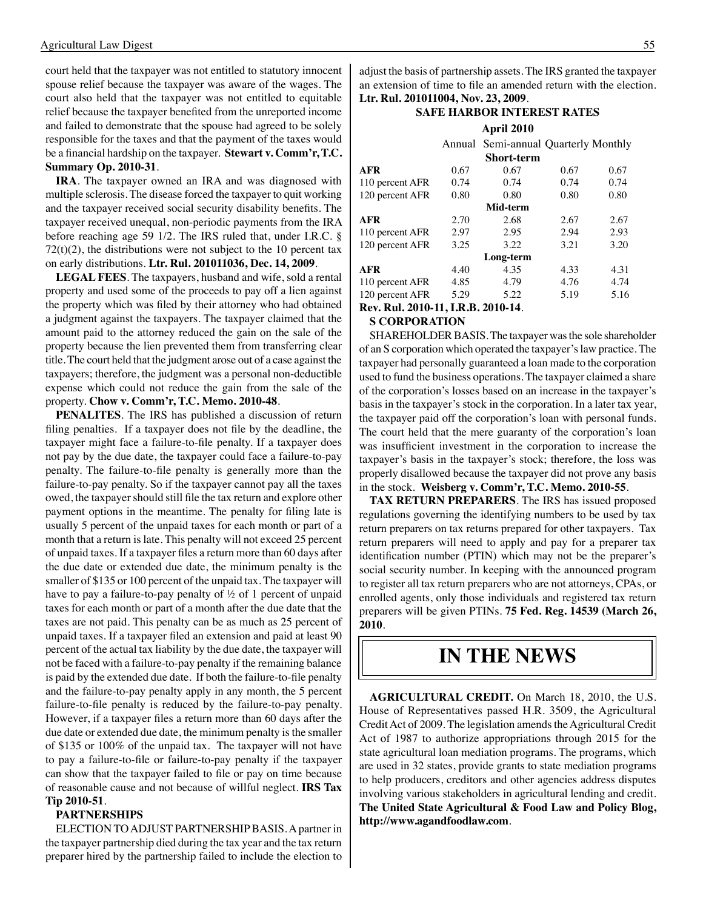court held that the taxpayer was not entitled to statutory innocent spouse relief because the taxpayer was aware of the wages. The court also held that the taxpayer was not entitled to equitable relief because the taxpayer benefited from the unreported income and failed to demonstrate that the spouse had agreed to be solely responsible for the taxes and that the payment of the taxes would be a financial hardship on the taxpayer. **Stewart v. Comm'r, T.C. Summary Op. 2010-31**.

**IRA**. The taxpayer owned an IRA and was diagnosed with multiple sclerosis. The disease forced the taxpayer to quit working and the taxpayer received social security disability benefits. The taxpayer received unequal, non-periodic payments from the IRA before reaching age 59 1/2. The IRS ruled that, under I.R.C. §  $72(t)(2)$ , the distributions were not subject to the 10 percent tax on early distributions. **Ltr. Rul. 201011036, Dec. 14, 2009**.

**LEGAL FEES**. The taxpayers, husband and wife, sold a rental property and used some of the proceeds to pay off a lien against the property which was filed by their attorney who had obtained a judgment against the taxpayers. The taxpayer claimed that the amount paid to the attorney reduced the gain on the sale of the property because the lien prevented them from transferring clear title. The court held that the judgment arose out of a case against the taxpayers; therefore, the judgment was a personal non-deductible expense which could not reduce the gain from the sale of the property. **Chow v. Comm'r, T.C. Memo. 2010-48**.

**PENALITES**. The IRS has published a discussion of return filing penalties. If a taxpayer does not file by the deadline, the taxpayer might face a failure-to-file penalty. If a taxpayer does not pay by the due date, the taxpayer could face a failure-to-pay penalty. The failure-to-file penalty is generally more than the failure-to-pay penalty. So if the taxpayer cannot pay all the taxes owed, the taxpayer should still file the tax return and explore other payment options in the meantime. The penalty for filing late is usually 5 percent of the unpaid taxes for each month or part of a month that a return is late. This penalty will not exceed 25 percent of unpaid taxes. If a taxpayer files a return more than 60 days after the due date or extended due date, the minimum penalty is the smaller of \$135 or 100 percent of the unpaid tax. The taxpayer will have to pay a failure-to-pay penalty of ½ of 1 percent of unpaid taxes for each month or part of a month after the due date that the taxes are not paid. This penalty can be as much as 25 percent of unpaid taxes. If a taxpayer filed an extension and paid at least 90 percent of the actual tax liability by the due date, the taxpayer will not be faced with a failure-to-pay penalty if the remaining balance is paid by the extended due date. If both the failure-to-file penalty and the failure-to-pay penalty apply in any month, the 5 percent failure-to-file penalty is reduced by the failure-to-pay penalty. However, if a taxpayer files a return more than 60 days after the due date or extended due date, the minimum penalty is the smaller of \$135 or 100% of the unpaid tax. The taxpayer will not have to pay a failure-to-file or failure-to-pay penalty if the taxpayer can show that the taxpayer failed to file or pay on time because of reasonable cause and not because of willful neglect. **IRS Tax Tip 2010-51**.

#### **PARTNERSHIPS**

ELECTION TO ADJUST PARTNERSHIP BASIS. A partner in the taxpayer partnership died during the tax year and the tax return preparer hired by the partnership failed to include the election to adjust the basis of partnership assets. The IRS granted the taxpayer an extension of time to file an amended return with the election. **Ltr. Rul. 201011004, Nov. 23, 2009**.

### **Safe Harbor interest rates**

|                                    |      | April 2010                           |      |      |
|------------------------------------|------|--------------------------------------|------|------|
|                                    |      | Annual Semi-annual Quarterly Monthly |      |      |
|                                    |      | Short-term                           |      |      |
| <b>AFR</b>                         | 0.67 | 0.67                                 | 0.67 | 0.67 |
| 110 percent AFR                    | 0.74 | 0.74                                 | 0.74 | 0.74 |
| 120 percent AFR                    | 0.80 | 0.80                                 | 0.80 | 0.80 |
| Mid-term                           |      |                                      |      |      |
| <b>AFR</b>                         | 2.70 | 2.68                                 | 2.67 | 2.67 |
| 110 percent AFR                    | 2.97 | 2.95                                 | 2.94 | 2.93 |
| 120 percent AFR                    | 3.25 | 3.22                                 | 3.21 | 3.20 |
| Long-term                          |      |                                      |      |      |
| <b>AFR</b>                         | 4.40 | 4.35                                 | 4.33 | 4.31 |
| 110 percent AFR                    | 4.85 | 4.79                                 | 4.76 | 4.74 |
| 120 percent AFR                    | 5.29 | 5.22                                 | 5.19 | 5.16 |
| Rev. Rul. 2010-11, I.R.B. 2010-14. |      |                                      |      |      |

#### **S CORPORATION**

SHAREHOLDER BASIS. The taxpayer was the sole shareholder of an S corporation which operated the taxpayer's law practice. The taxpayer had personally guaranteed a loan made to the corporation used to fund the business operations. The taxpayer claimed a share of the corporation's losses based on an increase in the taxpayer's basis in the taxpayer's stock in the corporation. In a later tax year, the taxpayer paid off the corporation's loan with personal funds. The court held that the mere guaranty of the corporation's loan was insufficient investment in the corporation to increase the taxpayer's basis in the taxpayer's stock; therefore, the loss was properly disallowed because the taxpayer did not prove any basis in the stock. **Weisberg v. Comm'r, T.C. Memo. 2010-55**.

**TAX RETURN PREPARERS**. The IRS has issued proposed regulations governing the identifying numbers to be used by tax return preparers on tax returns prepared for other taxpayers. Tax return preparers will need to apply and pay for a preparer tax identification number (PTIN) which may not be the preparer's social security number. In keeping with the announced program to register all tax return preparers who are not attorneys, CPAs, or enrolled agents, only those individuals and registered tax return preparers will be given PTINs. **75 Fed. Reg. 14539 (March 26, 2010**.

# **in the news**

**AGRICULTURAL CREDIT.** On March 18, 2010, the U.S. House of Representatives passed H.R. 3509, the Agricultural Credit Act of 2009. The legislation amends the Agricultural Credit Act of 1987 to authorize appropriations through 2015 for the state agricultural loan mediation programs. The programs, which are used in 32 states, provide grants to state mediation programs to help producers, creditors and other agencies address disputes involving various stakeholders in agricultural lending and credit. **The United State Agricultural & Food Law and Policy Blog, http://www.agandfoodlaw.com**.